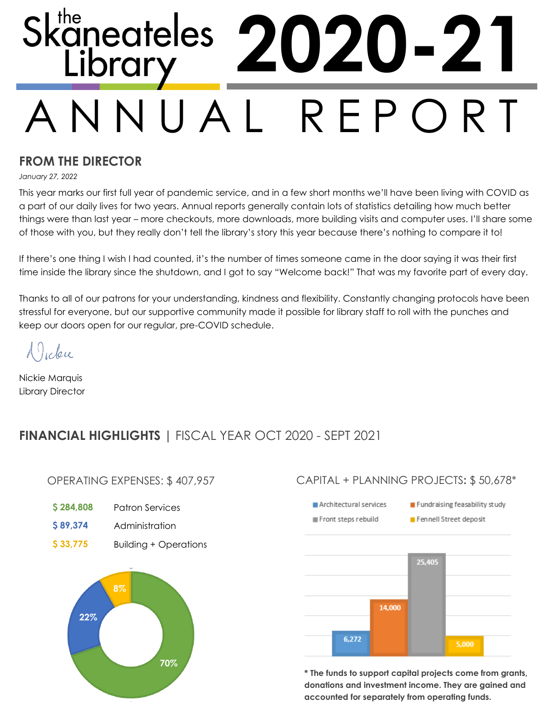# A N N U A L R E P O R T Skaneateles **2020-21**

# **FROM THE DIRECTOR**

*January 27, 2022*

This year marks our first full year of pandemic service, and in a few short months we'll have been living with COVID as a part of our daily lives for two years. Annual reports generally contain lots of statistics detailing how much better things were than last year – more checkouts, more downloads, more building visits and computer uses. I'll share some of those with you, but they really don't tell the library's story this year because there's nothing to compare it to!

If there's one thing I wish I had counted, it's the number of times someone came in the door saying it was their first time inside the library since the shutdown, and I got to say "Welcome back!" That was my favorite part of every day.

Thanks to all of our patrons for your understanding, kindness and flexibility. Constantly changing protocols have been stressful for everyone, but our supportive community made it possible for library staff to roll with the punches and keep our doors open for our regular, pre-COVID schedule.

Vicku

Nickie Marquis Library Director

# **FINANCIAL HIGHLIGHTS |** FISCAL YEAR OCT 2020 - SEPT 2021

#### OPERATING EXPENSES: \$ 407,957

- **\$ 284,808** Patron Services
- **\$ 89,374** Administration
- **\$ 33,775** Building + Operations



## CAPITAL + PLANNING PROJECTS**:** \$ 50,678\*



**\* The funds to support capital projects come from grants, donations and investment income. They are gained and accounted for separately from operating funds.**